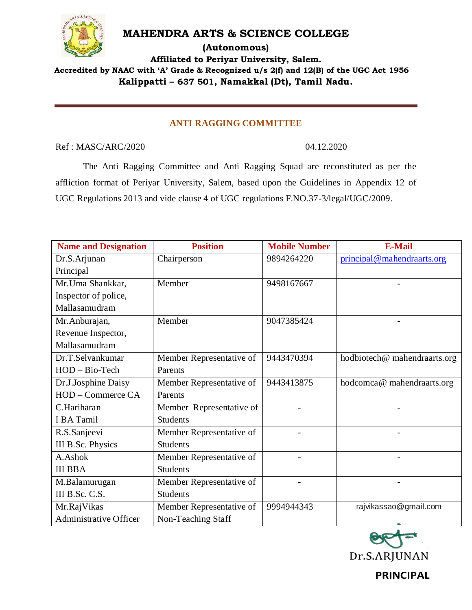

## **MAHENDRA ARTS & SCIENCE COLLEGE**

**(Autonomous)**

**Affiliated to Periyar University, Salem. Accredited by NAAC with 'A' Grade & Recognized u/s 2(f) and 12(B) of the UGC Act 1956**

**Kalippatti – 637 501, Namakkal (Dt), Tamil Nadu.**

## **ANTI RAGGING COMMITTEE**

Ref : MASC/ARC/2020 04.12.2020

The Anti Ragging Committee and Anti Ragging Squad are reconstituted as per the affliction format of Periyar University, Salem, based upon the Guidelines in Appendix 12 of UGC Regulations 2013 and vide clause 4 of UGC regulations F.NO.37-3/legal/UGC/2009.

| <b>Name and Designation</b>   | <b>Position</b>          | <b>Mobile Number</b> | <b>E-Mail</b>               |
|-------------------------------|--------------------------|----------------------|-----------------------------|
| Dr.S.Arjunan                  | Chairperson              | 9894264220           | principal@mahendraarts.org  |
| Principal                     |                          |                      |                             |
| Mr.Uma Shankkar,              | Member                   | 9498167667           |                             |
| Inspector of police,          |                          |                      |                             |
| Mallasamudram                 |                          |                      |                             |
| Mr.Anburajan,                 | Member                   | 9047385424           |                             |
| Revenue Inspector,            |                          |                      |                             |
| Mallasamudram                 |                          |                      |                             |
| Dr.T.Selvankumar              | Member Representative of | 9443470394           | hodbiotech@mahendraarts.org |
| HOD - Bio-Tech                | Parents                  |                      |                             |
| Dr.J.Josphine Daisy           | Member Representative of | 9443413875           | hodcomca@mahendraarts.org   |
| HOD – Commerce CA             | Parents                  |                      |                             |
| C.Hariharan                   | Member Representative of |                      |                             |
| I BA Tamil                    | <b>Students</b>          |                      |                             |
| R.S.Sanjeevi                  | Member Representative of |                      |                             |
| III B.Sc. Physics             | <b>Students</b>          |                      |                             |
| A.Ashok                       | Member Representative of |                      | -                           |
| <b>III BBA</b>                | <b>Students</b>          |                      |                             |
| M.Balamurugan                 | Member Representative of |                      |                             |
| III B.Sc. C.S.                | <b>Students</b>          |                      |                             |
| Mr.RajVikas                   | Member Representative of | 9994944343           | rajvikassao@gmail.com       |
| <b>Administrative Officer</b> | Non-Teaching Staff       |                      |                             |

Dr.S.ARJUNAN

**PRINCIPAL**